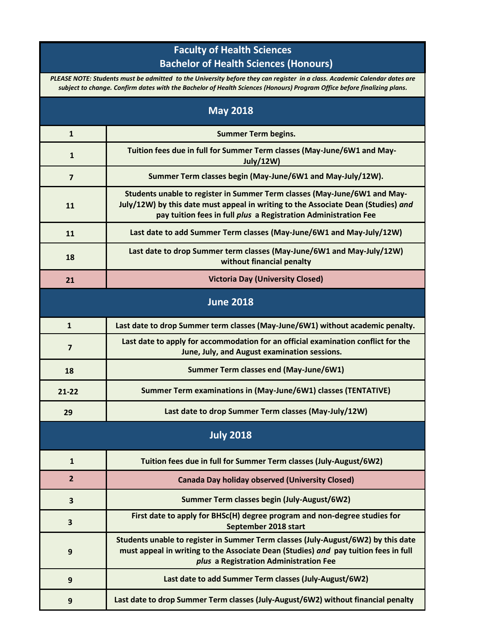## **Faculty of Health Sciences Bachelor of Health Sciences (Honours)**

*PLEASE NOTE: Students must be admitted to the University before they can register in a class. Academic Calendar dates are subject to change. Confirm dates with the Bachelor of Health Sciences (Honours) Program Office before finalizing plans.*

| <b>May 2018</b>  |                                                                                                                                                                                                                                   |  |
|------------------|-----------------------------------------------------------------------------------------------------------------------------------------------------------------------------------------------------------------------------------|--|
| $\mathbf{1}$     | <b>Summer Term begins.</b>                                                                                                                                                                                                        |  |
| $\mathbf{1}$     | Tuition fees due in full for Summer Term classes (May-June/6W1 and May-<br><b>July/12W)</b>                                                                                                                                       |  |
| 7                | Summer Term classes begin (May-June/6W1 and May-July/12W).                                                                                                                                                                        |  |
| 11               | Students unable to register in Summer Term classes (May-June/6W1 and May-<br>July/12W) by this date must appeal in writing to the Associate Dean (Studies) and<br>pay tuition fees in full plus a Registration Administration Fee |  |
| 11               | Last date to add Summer Term classes (May-June/6W1 and May-July/12W)                                                                                                                                                              |  |
| 18               | Last date to drop Summer term classes (May-June/6W1 and May-July/12W)<br>without financial penalty                                                                                                                                |  |
| 21               | <b>Victoria Day (University Closed)</b>                                                                                                                                                                                           |  |
| <b>June 2018</b> |                                                                                                                                                                                                                                   |  |
| $\mathbf{1}$     | Last date to drop Summer term classes (May-June/6W1) without academic penalty.                                                                                                                                                    |  |
| 7                | Last date to apply for accommodation for an official examination conflict for the<br>June, July, and August examination sessions.                                                                                                 |  |
| 18               | Summer Term classes end (May-June/6W1)                                                                                                                                                                                            |  |
| $21 - 22$        | Summer Term examinations in (May-June/6W1) classes (TENTATIVE)                                                                                                                                                                    |  |
| 29               | Last date to drop Summer Term classes (May-July/12W)                                                                                                                                                                              |  |
| <b>July 2018</b> |                                                                                                                                                                                                                                   |  |
| $\mathbf{1}$     | Tuition fees due in full for Summer Term classes (July-August/6W2)                                                                                                                                                                |  |
| $\overline{2}$   | <b>Canada Day holiday observed (University Closed)</b>                                                                                                                                                                            |  |
| 3                | Summer Term classes begin (July-August/6W2)                                                                                                                                                                                       |  |
| 3                | First date to apply for BHSc(H) degree program and non-degree studies for<br>September 2018 start                                                                                                                                 |  |
| $\boldsymbol{9}$ | Students unable to register in Summer Term classes (July-August/6W2) by this date<br>must appeal in writing to the Associate Dean (Studies) and pay tuition fees in full<br>plus a Registration Administration Fee                |  |
| 9                | Last date to add Summer Term classes (July-August/6W2)                                                                                                                                                                            |  |
| 9                | Last date to drop Summer Term classes (July-August/6W2) without financial penalty                                                                                                                                                 |  |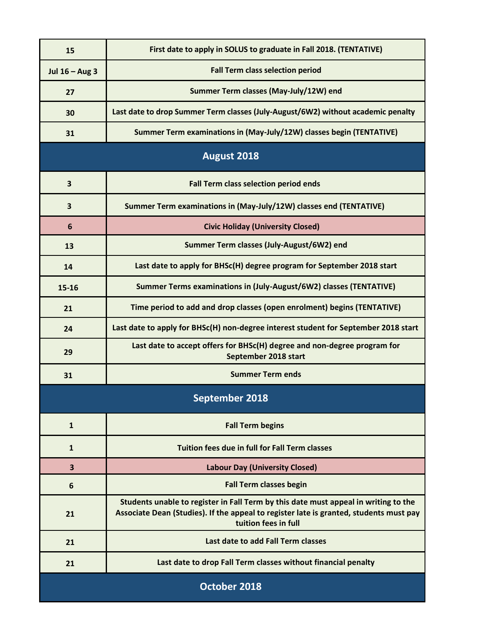| 15                    | First date to apply in SOLUS to graduate in Fall 2018. (TENTATIVE)                                                                                                                                    |  |
|-----------------------|-------------------------------------------------------------------------------------------------------------------------------------------------------------------------------------------------------|--|
| Jul $16 - Aug 3$      | <b>Fall Term class selection period</b>                                                                                                                                                               |  |
| 27                    | Summer Term classes (May-July/12W) end                                                                                                                                                                |  |
| 30                    | Last date to drop Summer Term classes (July-August/6W2) without academic penalty                                                                                                                      |  |
| 31                    | Summer Term examinations in (May-July/12W) classes begin (TENTATIVE)                                                                                                                                  |  |
| August 2018           |                                                                                                                                                                                                       |  |
| 3                     | <b>Fall Term class selection period ends</b>                                                                                                                                                          |  |
| 3                     | Summer Term examinations in (May-July/12W) classes end (TENTATIVE)                                                                                                                                    |  |
| 6                     | <b>Civic Holiday (University Closed)</b>                                                                                                                                                              |  |
| 13                    | Summer Term classes (July-August/6W2) end                                                                                                                                                             |  |
| 14                    | Last date to apply for BHSc(H) degree program for September 2018 start                                                                                                                                |  |
| $15 - 16$             | Summer Terms examinations in (July-August/6W2) classes (TENTATIVE)                                                                                                                                    |  |
| 21                    | Time period to add and drop classes (open enrolment) begins (TENTATIVE)                                                                                                                               |  |
| 24                    | Last date to apply for BHSc(H) non-degree interest student for September 2018 start                                                                                                                   |  |
| 29                    | Last date to accept offers for BHSc(H) degree and non-degree program for<br>September 2018 start                                                                                                      |  |
| 31                    | <b>Summer Term ends</b>                                                                                                                                                                               |  |
| <b>September 2018</b> |                                                                                                                                                                                                       |  |
| $\mathbf{1}$          | <b>Fall Term begins</b>                                                                                                                                                                               |  |
| $\mathbf{1}$          | <b>Tuition fees due in full for Fall Term classes</b>                                                                                                                                                 |  |
| 3                     | <b>Labour Day (University Closed)</b>                                                                                                                                                                 |  |
| 6                     | <b>Fall Term classes begin</b>                                                                                                                                                                        |  |
| 21                    | Students unable to register in Fall Term by this date must appeal in writing to the<br>Associate Dean (Studies). If the appeal to register late is granted, students must pay<br>tuition fees in full |  |
| 21                    | Last date to add Fall Term classes                                                                                                                                                                    |  |
| 21                    | Last date to drop Fall Term classes without financial penalty                                                                                                                                         |  |
| October 2018          |                                                                                                                                                                                                       |  |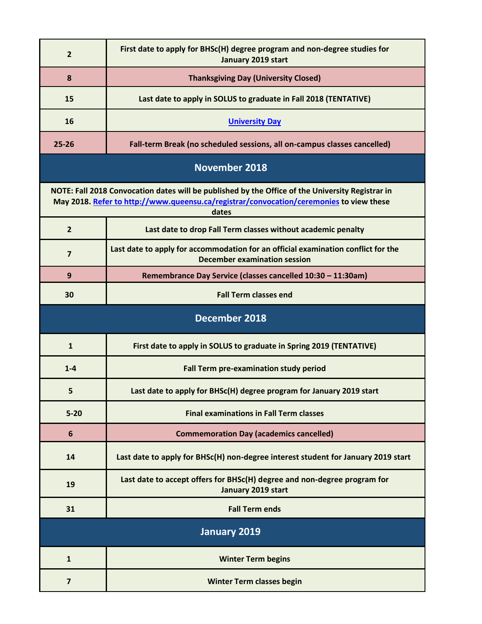| $\overline{2}$                                                                                                                                                                                       | First date to apply for BHSc(H) degree program and non-degree studies for<br>January 2019 start                          |  |
|------------------------------------------------------------------------------------------------------------------------------------------------------------------------------------------------------|--------------------------------------------------------------------------------------------------------------------------|--|
| 8                                                                                                                                                                                                    | <b>Thanksgiving Day (University Closed)</b>                                                                              |  |
| 15                                                                                                                                                                                                   | Last date to apply in SOLUS to graduate in Fall 2018 (TENTATIVE)                                                         |  |
| 16                                                                                                                                                                                                   | <b>University Day</b>                                                                                                    |  |
| $25 - 26$                                                                                                                                                                                            | Fall-term Break (no scheduled sessions, all on-campus classes cancelled)                                                 |  |
| <b>November 2018</b>                                                                                                                                                                                 |                                                                                                                          |  |
| NOTE: Fall 2018 Convocation dates will be published by the Office of the University Registrar in<br>May 2018. Refer to http://www.queensu.ca/registrar/convocation/ceremonies to view these<br>dates |                                                                                                                          |  |
| $\overline{2}$                                                                                                                                                                                       | Last date to drop Fall Term classes without academic penalty                                                             |  |
| $\overline{7}$                                                                                                                                                                                       | Last date to apply for accommodation for an official examination conflict for the<br><b>December examination session</b> |  |
| 9                                                                                                                                                                                                    | Remembrance Day Service (classes cancelled 10:30 - 11:30am)                                                              |  |
| 30                                                                                                                                                                                                   | <b>Fall Term classes end</b>                                                                                             |  |
| <b>December 2018</b>                                                                                                                                                                                 |                                                                                                                          |  |
| $\mathbf{1}$                                                                                                                                                                                         | First date to apply in SOLUS to graduate in Spring 2019 (TENTATIVE)                                                      |  |
| $1-4$                                                                                                                                                                                                | Fall Term pre-examination study period                                                                                   |  |
| 5                                                                                                                                                                                                    | Last date to apply for BHSc(H) degree program for January 2019 start                                                     |  |
| $5 - 20$                                                                                                                                                                                             | <b>Final examinations in Fall Term classes</b>                                                                           |  |
| 6                                                                                                                                                                                                    | <b>Commemoration Day (academics cancelled)</b>                                                                           |  |
| 14                                                                                                                                                                                                   | Last date to apply for BHSc(H) non-degree interest student for January 2019 start                                        |  |
| 19                                                                                                                                                                                                   | Last date to accept offers for BHSc(H) degree and non-degree program for<br>January 2019 start                           |  |
| 31                                                                                                                                                                                                   | <b>Fall Term ends</b>                                                                                                    |  |
| January 2019                                                                                                                                                                                         |                                                                                                                          |  |
| $\mathbf{1}$                                                                                                                                                                                         | <b>Winter Term begins</b>                                                                                                |  |
| $\overline{\mathbf{z}}$                                                                                                                                                                              | <b>Winter Term classes begin</b>                                                                                         |  |